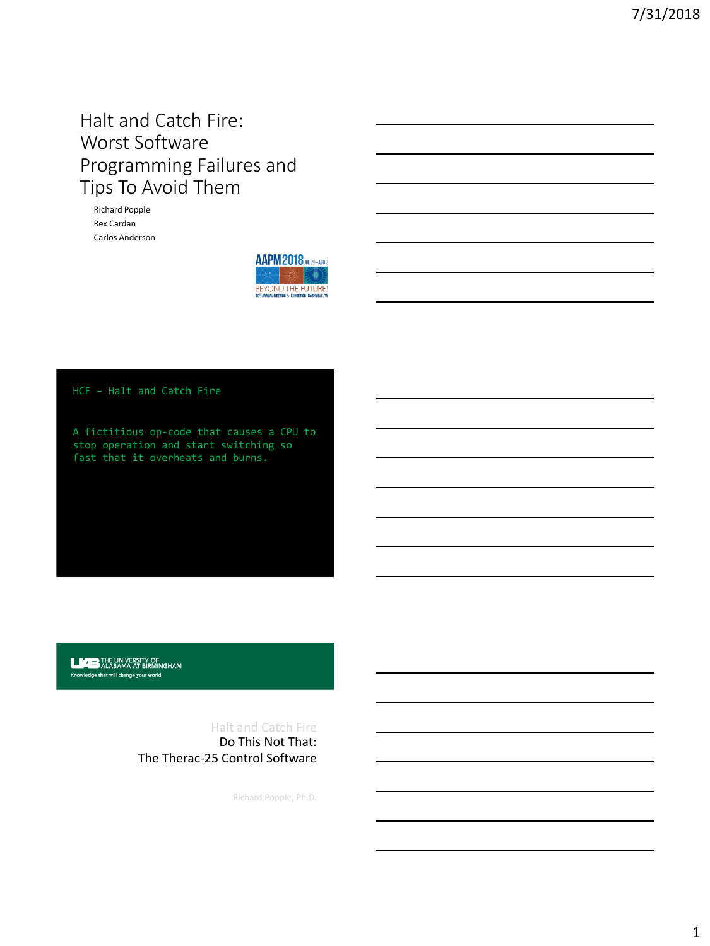# Halt and Catch Fire: Worst Software Programming Failures and Tips To Avoid Them

Richard Popple Rex Cardan Carlos Anderson



HCF – Halt and Catch Fire

A fictitious op-code that causes a CPU to stop operation and start switching so fast that it overheats and burns.

**LAB THE UNIVERSITY OF ALABAMA AT BIRMINGHAM** Knowledge that will change your world

> Do This Not That: The Therac-25 Control Software Halt and Catch Fire

> > Richard Popple, Ph.D.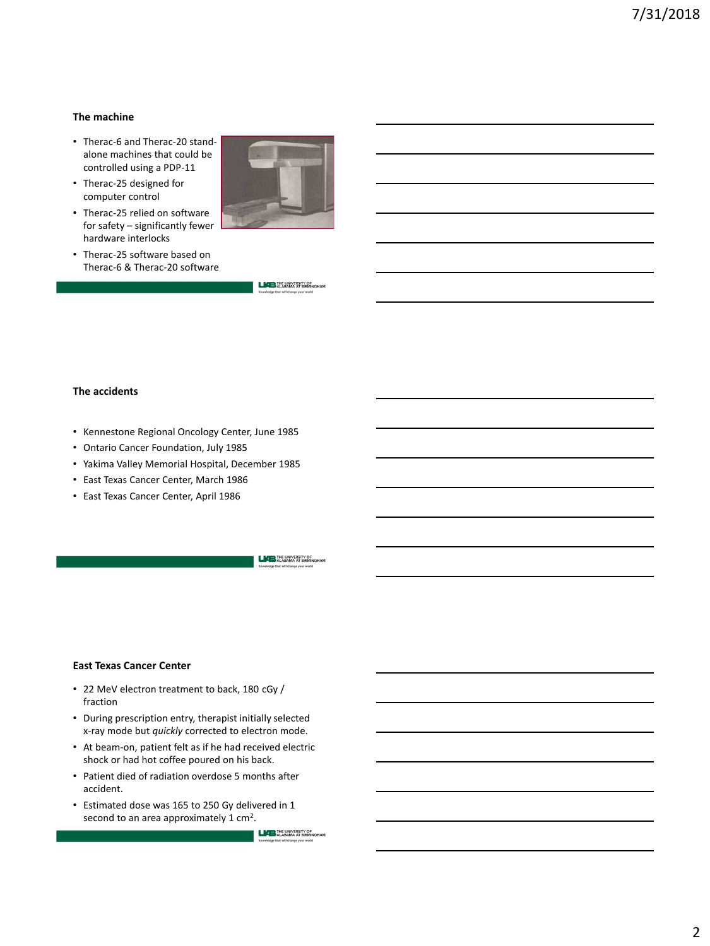## **The machine**

- Therac-6 and Therac-20 standalone machines that could be controlled using a PDP-11
- Therac-25 designed for computer control
- Therac-25 relied on software for safety – significantly fewer hardware interlocks
- Therac-25 software based on Therac-6 & Therac-20 software



**LIAB** THE UNIVERSITY OF

### **The accidents**

- Kennestone Regional Oncology Center, June 1985
- Ontario Cancer Foundation, July 1985
- Yakima Valley Memorial Hospital, December 1985
- East Texas Cancer Center, March 1986
- East Texas Cancer Center, April 1986

**LIGE THE UNIVERSITY OF** ALABAMA AT BIRMINGH

#### **East Texas Cancer Center**

- 22 MeV electron treatment to back, 180 cGy / fraction
- During prescription entry, therapist initially selected x-ray mode but *quickly* corrected to electron mode.
- At beam-on, patient felt as if he had received electric shock or had hot coffee poured on his back.
- Patient died of radiation overdose 5 months after accident.
- Estimated dose was 165 to 250 Gy delivered in 1 second to an area approximately  $1 \text{ cm}^2$ .

**LICE THE UNIVERSITY OF LEGEN ALABAMA** AT BIRMINGHAM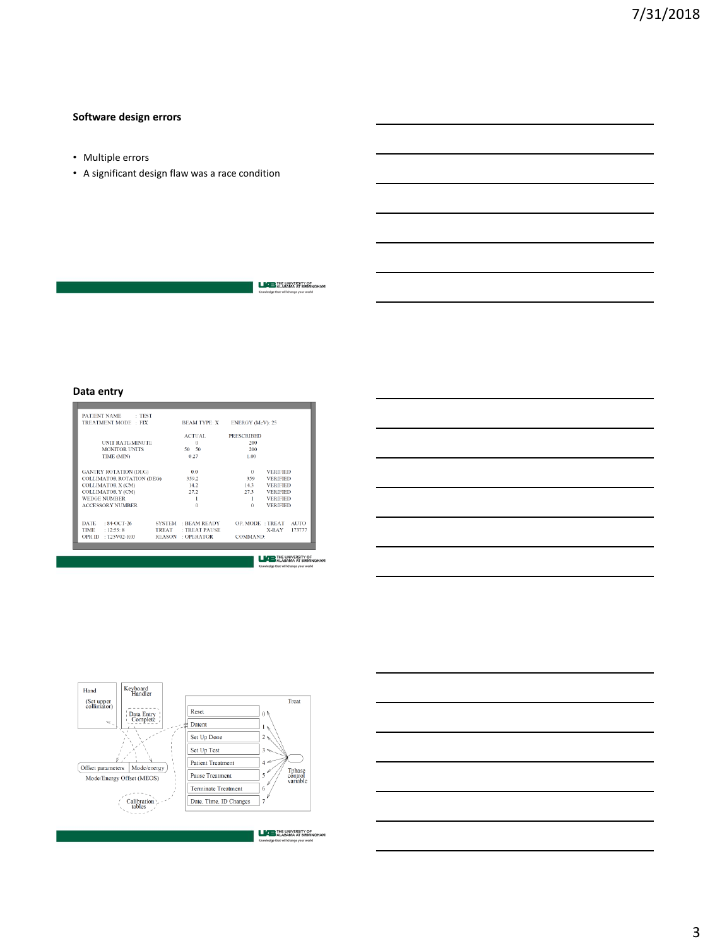# **Software design errors**

- Multiple errors
- A significant design flaw was a race condition

**LAP THE UNIVERSITY OF**<br>ALABAMA AT BIRMINGHAM

# **Data entry**

|                     | $^{\circ}$                                                            |                                                                                                                                                                                                                                                                                                  |
|---------------------|-----------------------------------------------------------------------|--------------------------------------------------------------------------------------------------------------------------------------------------------------------------------------------------------------------------------------------------------------------------------------------------|
|                     |                                                                       |                                                                                                                                                                                                                                                                                                  |
|                     |                                                                       |                                                                                                                                                                                                                                                                                                  |
|                     |                                                                       |                                                                                                                                                                                                                                                                                                  |
|                     |                                                                       |                                                                                                                                                                                                                                                                                                  |
|                     |                                                                       |                                                                                                                                                                                                                                                                                                  |
|                     |                                                                       |                                                                                                                                                                                                                                                                                                  |
|                     |                                                                       |                                                                                                                                                                                                                                                                                                  |
|                     |                                                                       | <b>AUTO</b>                                                                                                                                                                                                                                                                                      |
| TREAT : TREAT PAUSE | X-RAY                                                                 | 173777                                                                                                                                                                                                                                                                                           |
| REASON : OPERATOR   | <b>COMMAND:</b>                                                       |                                                                                                                                                                                                                                                                                                  |
|                     |                                                                       |                                                                                                                                                                                                                                                                                                  |
|                     |                                                                       |                                                                                                                                                                                                                                                                                                  |
|                     | $\Omega$<br>50 50<br>0.27<br>0.0<br>359.2<br>14.2<br>27.2<br>$\Omega$ | BEAM TYPE: X<br><b>ENERGY (MeV): 25</b><br>ACTUAL.<br><b>PRESCRIBED</b><br>200<br>200<br>1.00<br><b>VERIFIED</b><br>359<br><b>VERIFIED</b><br>143<br><b>VERIFIED</b><br>27.3<br><b>VERIFIED</b><br><b>VERIFIED</b><br>т.<br>$\Omega$<br><b>VERIFIED</b><br>SYSTEM BEAM READY<br>OP. MODE : TREAT |

**LACE** THE UNIVERSITY OF





**LACE THE UNIVERSITY OF** ALABAMA AT BIRMINGHAM

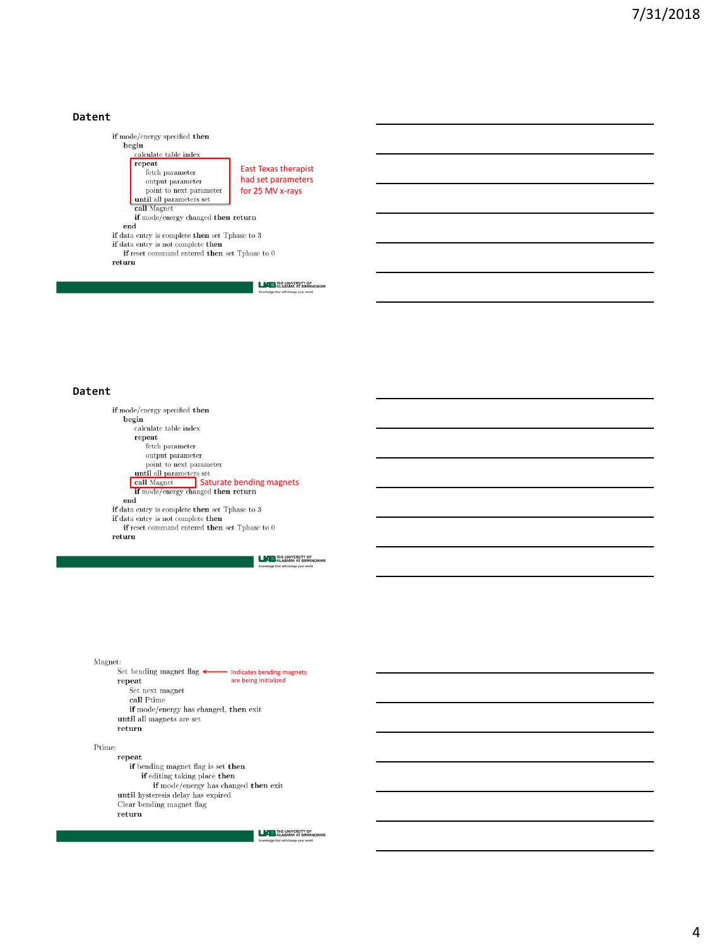## **Datent**



#### **Datent**

if mode/energy specified then  $begin{bmatrix} \text{begin} 1 \end{bmatrix}$  $\operatorname{calculate}\, \operatorname{table}$  index  ${\tt repeat}$ fetch parameter  $\!$  output parameter point to next parameter point to meat parameters<br>
until all parameters set<br>
call Magnet<br>
if mode/energy changed then return  $_{\rm end}$  $\begin{minipage}{.4\linewidth} \textbf{if data entry is complete then set } \text{Tphase to } 3 \\ \textbf{if data entry is not complete } \textbf{then} \\ \textbf{if } \text{reset command } \textbf{entered } \textbf{then set } \text{Tphase to } 0 \end{minipage}$ 

 $return$ 

**LATE** THE UNIVERSITY OF

Magnet: Set bending magnet flag <a>
Indicates bending magnets  ${\tt repeat}$ are being initializedSet next magnet  $\mathbf{call}$  Ptime if mode/energy has changed, then exit until all magnets are set  $return$ 

#### $\mbox{Prime:}$

repeat if bending magnet flag is set then if editing taking place then  $\operatorname{\textbf{if}~mode/energy}$  has changed  $\operatorname{\textbf{then}~exit}$ until hysteresis delay has expired Clear bending magnet flag  $return$ 

**LICE THE UNIVERSITY OF**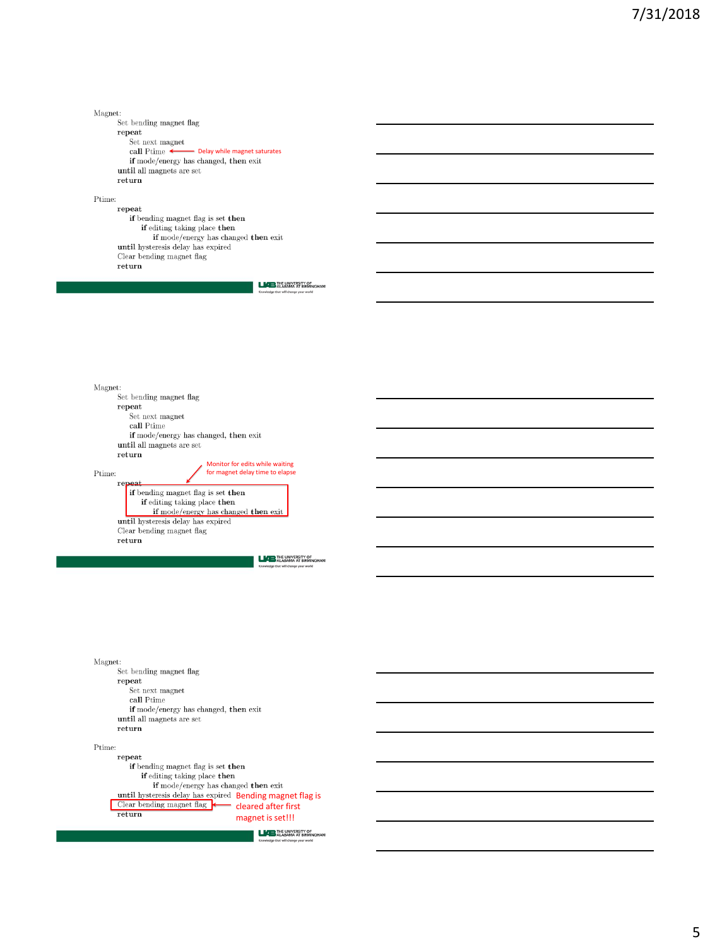Magnet:

Set bending magnet flag  ${\tt repeat}$  $\operatorname{Set}% \nolimits_{A}$ next magnet call Ptime  $\leftarrow$ Delay while magnet saturates until all magnets are set  $return$ 

 $\mbox{Prime:}$ 

 ${\tt repeat}$  $\operatorname{\textbf{if}}$  bending magnet flag is set  $\operatorname{\textbf{then}}$ if editing taking place then if mode/energy has changed then exit<br>until hysteresis delay has expired Clear bending magnet flag  $return$ 

**LICE** THE UNIVERSITY OF

 $\rm Magnet:$  ${\rm Set}$  bending magnet flag  ${\tt repeat}$  $\operatorname{Set}% \nolimits_{A}^{\prime}=\operatorname{Set}% \nolimits_{A}^{\prime}$  next magnet  $\mathbf{call}$  Ptime if mode/energy has changed, then exit until all magnets are set  $return$ Monitor for edits while waiting Ptime: for magnet delay time to elapse  $rep$ if bending magnet flag is set then if editing taking place then if mode/energy has changed then exit until hysteresis delay has expired Clear bending magnet flag return

**LACE THE UNIVERSITY OF** ALABAMA AT BIRMINGHAM

Magnet:  ${\rm Set}$  bending magnet flag  ${\tt repeat}$ Set next magnet  $\mathbf{call}$  Ptime if mode/energy has changed, then exit until all magnets are set  $return$  $\mbox{Prime:}$ repeat if bending magnet flag is set then if editing taking place then

if mode/energy has changed then exit until hysteresis delay has expired Bending magnet flag is Clear bending magnet flag cleared after first return magnet is set!!!

**LICE THE UNIVERSITY OF**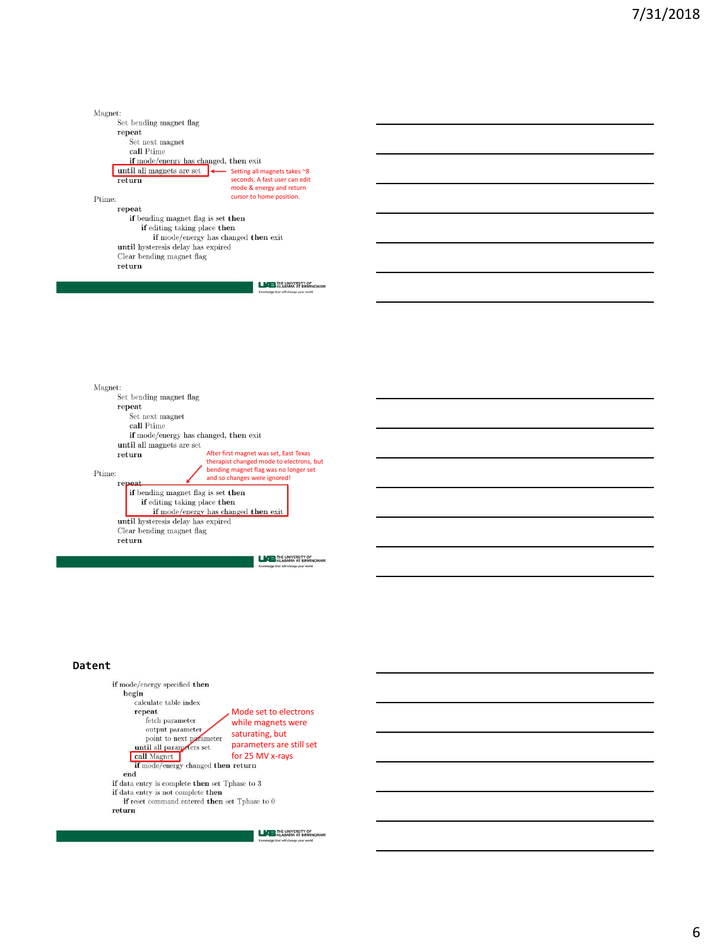Magnet: Set bending magnet flag  $_{\rm repeat}$ Set next magnet  $\mathbf{call}$  Ptime if mode/energy has changed, then exit until all magnets are set Setting all magnets takes ~8 return seconds. A fast user can edit mode & energy and return  $\mbox{Prime:}$ cursor to home position. repeat if bending magnet flag is set then if editing taking place then if mode/energy has changed then exit until hysteresis delay has expired  $\it Clear$  bending magnet flag  $return$ 

**LICE** THE UNIVERSITY OF

 $\rm Magnet:$  ${\rm Set}$  bending magnet flag  ${\tt repeat}$  $\operatorname{Set}% \nolimits_{A}^{\prime}=\operatorname{Set}% \nolimits_{A}^{\prime}$  next magnet  $\mathbf{call}$  Ptime if mode/energy has changed, then exit until all magnets are set  $return$ After first magnet was set, East Texas therapist changed mode to electrons, but bending magnet flag was no longer set Ptime: and so changes were ignored!  $rep$ if bending magnet flag is set then if editing taking place then if mode/energy has changed then exit until hysteresis delay has expired Clear bending magnet flag return

**LATE** THE UNIVERSITY OF

#### **Datent**



**LICE THE UNIVERSITY OF**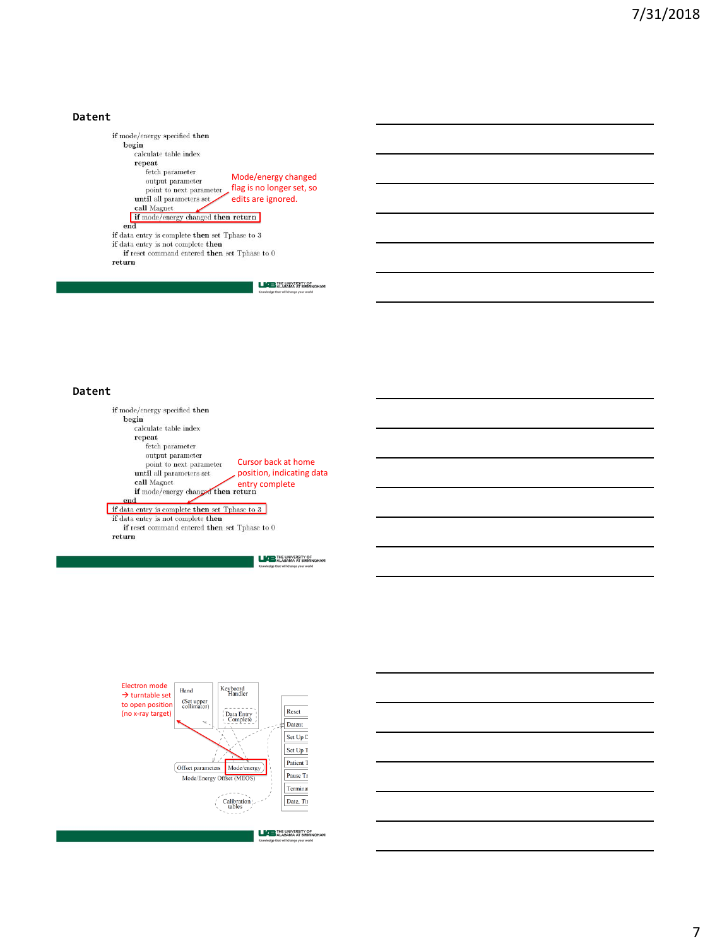## **Datent**

if mode/energy specified then  $_{\rm begin}$  $\operatorname{calculate}\, \operatorname{table}$  index  $\begin{array}{c} \textbf{repeat} \\ \textbf{fetch parameter} \end{array}$ Mode/energy changed  $\mathop{\text{output}}$  parameter point to next parameter flag is no longer set, so until all parameters set edits are ignored. call Magnet if mode/energy changed then return if data entry is complete then set Tphase to 3<br>if data entry is not complete then if reset command entered then set Tphase to  $0$  $return$ 

**LATE** THE UNIVERSITY OF

#### **Datent**

if mode/energy specified then  $begin{bmatrix} \text{begin} 1 \end{bmatrix}$  $\operatorname{calculate}\, \operatorname{table}$  index  ${\bf repeat}$ fetch parameter  $\!$  output parameter point to next parameter Cursor back at home until all parameters set position, indicating data call Magnet<br>
if mode/energy changed then return<br>
a  $\operatorname{\bf call}$  Magnet in mode/energy changed then return<br>if data entry is complete then set Tphase to 3<br>if data entry is not complete then<br>if reset command entered then set Tphase to 0  $return$ 

**LAB THE UNIVERSITY OF LABAMA** AT BIRMINGHAM



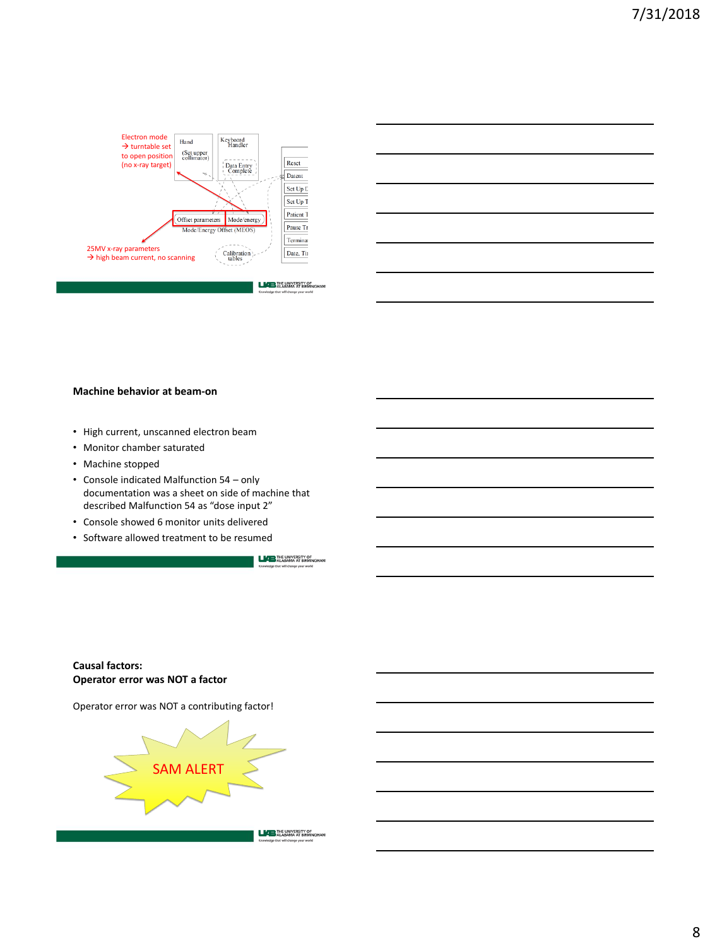



## **Machine behavior at beam-on**

- High current, unscanned electron beam
- Monitor chamber saturated
- Machine stopped
- Console indicated Malfunction 54 only documentation was a sheet on side of machine that described Malfunction 54 as "dose input 2"
- Console showed 6 monitor units delivered
- Software allowed treatment to be resumed

**LACE** THE UNIVERSITY OF

# **Causal factors: Operator error was NOT a factor**

Operator error was NOT a contributing factor!

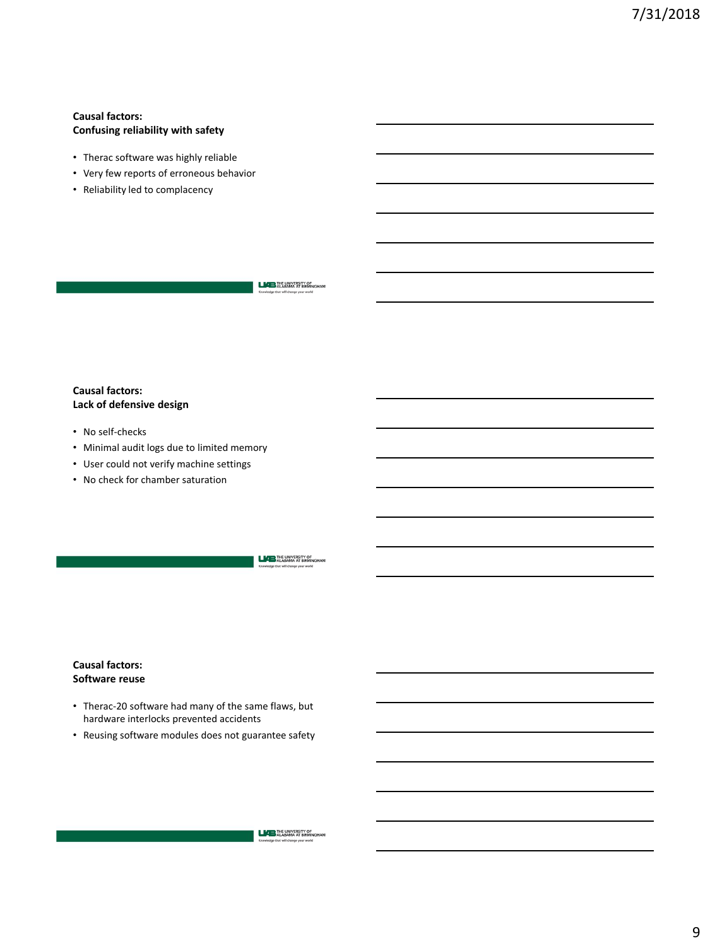# **Causal factors: Confusing reliability with safety**

- Therac software was highly reliable
- Very few reports of erroneous behavior
- Reliability led to complacency

**LAP THE UNIVERSITY OF**<br>ALABAMA AT BIRMINGHAM

# **Causal factors: Lack of defensive design**

- No self-checks
- Minimal audit logs due to limited memory
- User could not verify machine settings
- No check for chamber saturation

**LACE** THE UNIVERSITY OF

# **Causal factors: Software reuse**

- Therac-20 software had many of the same flaws, but hardware interlocks prevented accidents
- Reusing software modules does not guarantee safety

**LIAB** THE UNIVERSITY OF